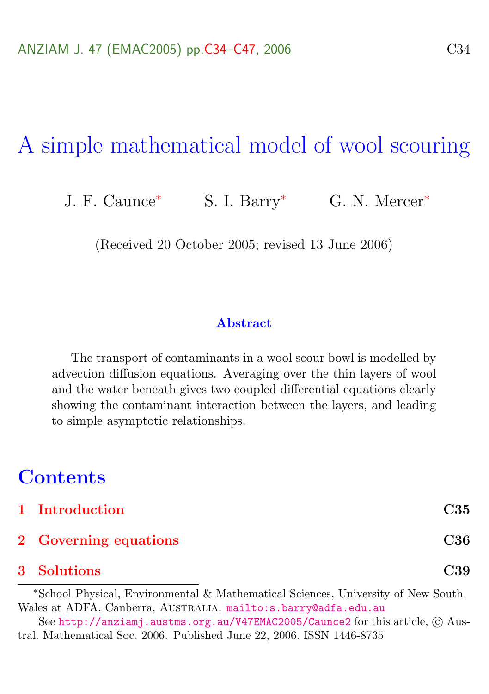# A simple mathematical model of wool scouring

J. F. Caunce<sup>\*</sup> S. I. Barry<sup>\*</sup> G. N. Mercer<sup>\*</sup>

(Received 20 October 2005; revised 13 June 2006)

#### **Abstract**

The transport of contaminants in a wool scour bowl is modelled by advection diffusion equations. Averaging over the thin layers of wool and the water beneath gives two coupled differential equations clearly showing the contaminant interaction between the layers, and leading to simple asymptotic relationships.

# **Contents**

| 1 Introduction        | C35 |
|-----------------------|-----|
| 2 Governing equations | C36 |

#### [3 Solutions](#page-5-0) C39

<sup>∗</sup>School Physical, Environmental & Mathematical Sciences, University of New South Wales at ADFA, Canberra, AUSTRALIA. <mailto:s.barry@adfa.edu.au>

See <http://anziamj.austms.org.au/V47EMAC2005/Caunce2> for this article, © Austral. Mathematical Soc. 2006. Published June 22, 2006. ISSN 1446-8735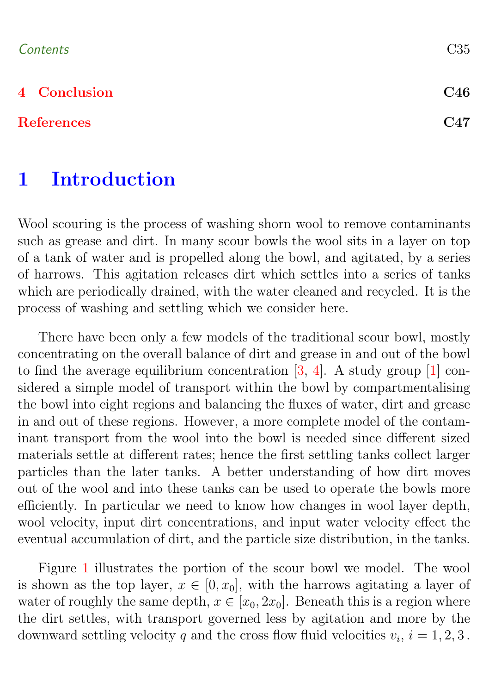### <span id="page-1-1"></span>Contents C35

### [4 Conclusion](#page-12-0) C46

#### [References](#page-13-0) C47

# <span id="page-1-0"></span>1 Introduction

Wool scouring is the process of washing shorn wool to remove contaminants such as grease and dirt. In many scour bowls the wool sits in a layer on top of a tank of water and is propelled along the bowl, and agitated, by a series of harrows. This agitation releases dirt which settles into a series of tanks which are periodically drained, with the water cleaned and recycled. It is the process of washing and settling which we consider here.

There have been only a few models of the traditional scour bowl, mostly concentrating on the overall balance of dirt and grease in and out of the bowl to find the average equilibrium concentration  $[3, 4]$  $[3, 4]$  $[3, 4]$ . A study group  $[1]$  considered a simple model of transport within the bowl by compartmentalising the bowl into eight regions and balancing the fluxes of water, dirt and grease in and out of these regions. However, a more complete model of the contaminant transport from the wool into the bowl is needed since different sized materials settle at different rates; hence the first settling tanks collect larger particles than the later tanks. A better understanding of how dirt moves out of the wool and into these tanks can be used to operate the bowls more efficiently. In particular we need to know how changes in wool layer depth, wool velocity, input dirt concentrations, and input water velocity effect the eventual accumulation of dirt, and the particle size distribution, in the tanks.

Figure [1](#page-2-1) illustrates the portion of the scour bowl we model. The wool is shown as the top layer,  $x \in [0, x_0]$ , with the harrows agitating a layer of water of roughly the same depth,  $x \in [x_0, 2x_0]$ . Beneath this is a region where the dirt settles, with transport governed less by agitation and more by the downward settling velocity q and the cross flow fluid velocities  $v_i$ ,  $i = 1, 2, 3$ .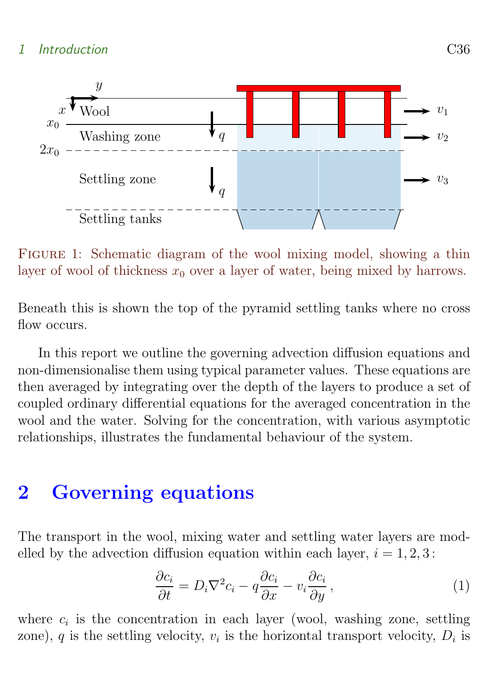## 1 Introduction C36



<span id="page-2-1"></span>FIGURE 1: Schematic diagram of the wool mixing model, showing a thin layer of wool of thickness  $x_0$  over a layer of water, being mixed by harrows.

Beneath this is shown the top of the pyramid settling tanks where no cross flow occurs.

In this report we outline the governing advection diffusion equations and non-dimensionalise them using typical parameter values. These equations are then averaged by integrating over the depth of the layers to produce a set of coupled ordinary differential equations for the averaged concentration in the wool and the water. Solving for the concentration, with various asymptotic relationships, illustrates the fundamental behaviour of the system.

# <span id="page-2-0"></span>2 Governing equations

The transport in the wool, mixing water and settling water layers are modelled by the advection diffusion equation within each layer,  $i = 1, 2, 3$ :

<span id="page-2-2"></span>
$$
\frac{\partial c_i}{\partial t} = D_i \nabla^2 c_i - q \frac{\partial c_i}{\partial x} - v_i \frac{\partial c_i}{\partial y}, \qquad (1)
$$

where  $c_i$  is the concentration in each layer (wool, washing zone, settling zone), q is the settling velocity,  $v_i$  is the horizontal transport velocity,  $D_i$  is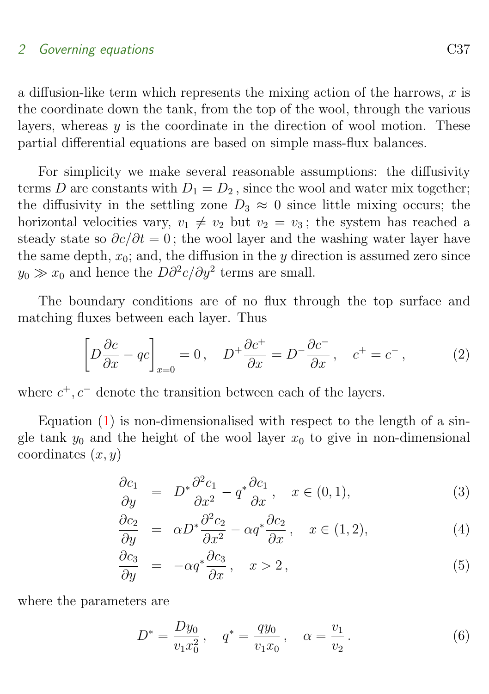## 2 Governing equations C37

a diffusion-like term which represents the mixing action of the harrows,  $x$  is the coordinate down the tank, from the top of the wool, through the various layers, whereas  $y$  is the coordinate in the direction of wool motion. These partial differential equations are based on simple mass-flux balances.

For simplicity we make several reasonable assumptions: the diffusivity terms D are constants with  $D_1 = D_2$ , since the wool and water mix together; the diffusivity in the settling zone  $D_3 \approx 0$  since little mixing occurs; the horizontal velocities vary,  $v_1 \neq v_2$  but  $v_2 = v_3$ ; the system has reached a steady state so  $\partial c/\partial t = 0$ ; the wool layer and the washing water layer have the same depth,  $x_0$ ; and, the diffusion in the y direction is assumed zero since  $y_0 \gg x_0$  and hence the  $D\partial^2 c/\partial y^2$  terms are small.

The boundary conditions are of no flux through the top surface and matching fluxes between each layer. Thus

$$
\left[D\frac{\partial c}{\partial x} - qc\right]_{x=0} = 0, \quad D^+\frac{\partial c^+}{\partial x} = D^-\frac{\partial c^-}{\partial x}, \quad c^+ = c^-, \tag{2}
$$

where  $c^+, c^-$  denote the transition between each of the layers.

Equation  $(1)$  is non-dimensionalised with respect to the length of a single tank  $y_0$  and the height of the wool layer  $x_0$  to give in non-dimensional coordinates  $(x, y)$ 

$$
\frac{\partial c_1}{\partial y} = D^* \frac{\partial^2 c_1}{\partial x^2} - q^* \frac{\partial c_1}{\partial x}, \quad x \in (0, 1), \tag{3}
$$

$$
\frac{\partial c_2}{\partial y} = \alpha D^* \frac{\partial^2 c_2}{\partial x^2} - \alpha q^* \frac{\partial c_2}{\partial x}, \quad x \in (1, 2), \tag{4}
$$

$$
\frac{\partial c_3}{\partial y} = -\alpha q^* \frac{\partial c_3}{\partial x}, \quad x > 2,
$$
\n(5)

where the parameters are

$$
D^* = \frac{Dy_0}{v_1 x_0^2}, \quad q^* = \frac{qy_0}{v_1 x_0}, \quad \alpha = \frac{v_1}{v_2}.
$$
 (6)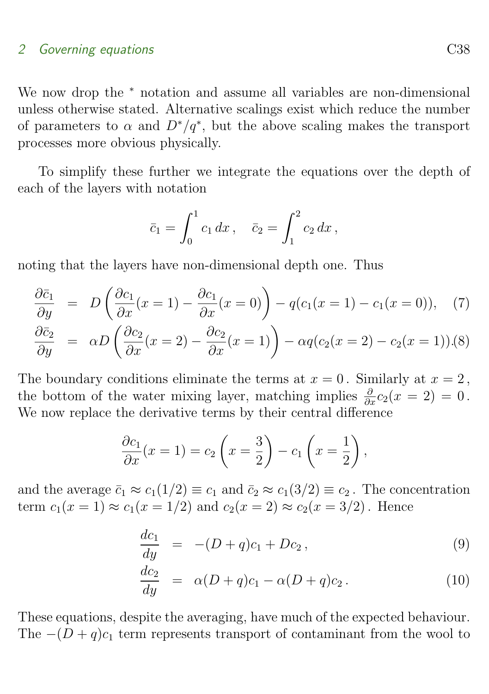## 2 Governing equations C38

We now drop the <sup>∗</sup> notation and assume all variables are non-dimensional unless otherwise stated. Alternative scalings exist which reduce the number of parameters to  $\alpha$  and  $D^*/q^*$ , but the above scaling makes the transport processes more obvious physically.

To simplify these further we integrate the equations over the depth of each of the layers with notation

$$
\bar{c}_1 = \int_0^1 c_1 \, dx \,, \quad \bar{c}_2 = \int_1^2 c_2 \, dx \,,
$$

noting that the layers have non-dimensional depth one. Thus

$$
\frac{\partial \bar{c}_1}{\partial y} = D\left(\frac{\partial c_1}{\partial x}(x=1) - \frac{\partial c_1}{\partial x}(x=0)\right) - q(c_1(x=1) - c_1(x=0)), \quad (7)
$$
\n
$$
\frac{\partial \bar{c}_2}{\partial y} = \left(\frac{\partial c_2}{\partial y} - \frac{\partial c_1}{\partial y} - \frac{\partial c_2}{\partial y} - \frac{\partial c_1}{\partial y} - \frac{\partial c_2}{\partial y} - \frac{\partial c_2}{\partial y} - \frac{\partial c_1}{\partial y} - \frac{\partial c_2}{\partial y} - \frac{\partial c_1}{\partial y} - \frac{\partial c_2}{\partial y} - \frac{\partial c_1}{\partial y} - \frac{\partial c_2}{\partial y} - \frac{\partial c_1}{\partial y} - \frac{\partial c_2}{\partial y} - \frac{\partial c_2}{\partial y} - \frac{\partial c_1}{\partial y} - \frac{\partial c_2}{\partial y} - \frac{\partial c_1}{\partial y} - \frac{\partial c_2}{\partial y} - \frac{\partial c_1}{\partial y} - \frac{\partial c_2}{\partial y} - \frac{\partial c_2}{\partial y} - \frac{\partial c_1}{\partial y} - \frac{\partial c_2}{\partial y} - \frac{\partial c_1}{\partial y} - \frac{\partial c_2}{\partial y} - \frac{\partial c_1}{\partial y} - \frac{\partial c_2}{\partial y} - \frac{\partial c_1}{\partial y} - \frac{\partial c_1}{\partial y} - \frac{\partial c_2}{\partial y} - \frac{\partial c_1}{\partial y} - \frac{\partial c_1}{\partial z} - \frac{\partial c_1}{\partial y} - \frac{\partial c_1}{\partial z} - \frac{\partial c_1}{\partial y} - \frac{\partial c_1}{\partial z} - \frac{\partial c_2}{\partial y} - \frac{\partial c_1}{\partial z} - \frac{\partial c_1}{\partial y} - \frac{\partial c_1}{\partial z} - \frac{\partial c_1}{\partial z} - \frac{\partial c_1}{\partial z} - \frac{\partial c_1}{\partial z} - \frac{\partial c_1}{\partial z} - \frac{\partial c_2}{\partial z} - \frac{\partial c_1}{\partial z} - \frac{\partial c_1}{\partial z} - \frac{\partial c_1}{\partial z} - \frac{\partial c_1}{\partial z} - \frac{\partial c_1}{
$$

$$
\frac{\partial \bar{c}_2}{\partial y} = \alpha D \left( \frac{\partial c_2}{\partial x} (x = 2) - \frac{\partial c_2}{\partial x} (x = 1) \right) - \alpha q (c_2 (x = 2) - c_2 (x = 1)).(8)
$$

The boundary conditions eliminate the terms at  $x = 0$ . Similarly at  $x = 2$ , the bottom of the water mixing layer, matching implies  $\frac{\partial}{\partial x}c_2(x=2)=0$ . We now replace the derivative terms by their central difference

$$
\frac{\partial c_1}{\partial x}(x=1) = c_2\left(x=\frac{3}{2}\right) - c_1\left(x=\frac{1}{2}\right),
$$

and the average  $\bar{c}_1 \approx c_1(1/2) \equiv c_1$  and  $\bar{c}_2 \approx c_1(3/2) \equiv c_2$ . The concentration term  $c_1(x = 1) \approx c_1(x = 1/2)$  and  $c_2(x = 2) \approx c_2(x = 3/2)$ . Hence

$$
\frac{dc_1}{dy} = -(D+q)c_1 + Dc_2, \qquad (9)
$$

<span id="page-4-0"></span>
$$
\frac{dc_2}{dy} = \alpha (D+q)c_1 - \alpha (D+q)c_2.
$$
 (10)

These equations, despite the averaging, have much of the expected behaviour. The  $-(D+q)c_1$  term represents transport of contaminant from the wool to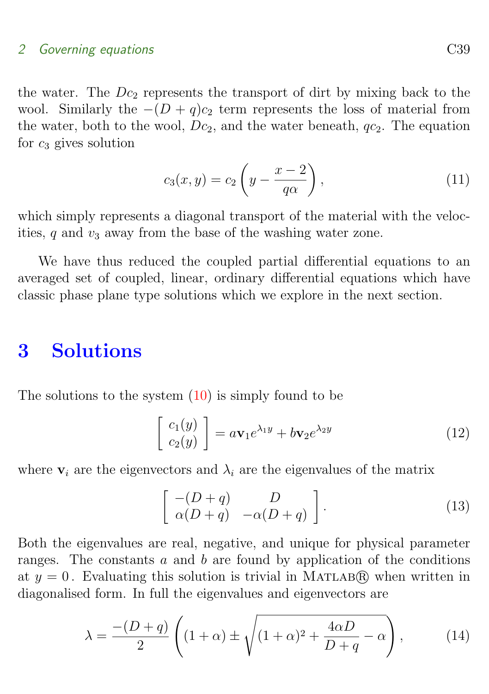### 2 Governing equations C39

the water. The  $Dc_2$  represents the transport of dirt by mixing back to the wool. Similarly the  $-(D+q)c_2$  term represents the loss of material from the water, both to the wool,  $Dc_2$ , and the water beneath,  $qc_2$ . The equation for  $c_3$  gives solution

<span id="page-5-2"></span>
$$
c_3(x,y) = c_2 \left( y - \frac{x-2}{q\alpha} \right),\tag{11}
$$

which simply represents a diagonal transport of the material with the velocities,  $q$  and  $v_3$  away from the base of the washing water zone.

We have thus reduced the coupled partial differential equations to an averaged set of coupled, linear, ordinary differential equations which have classic phase plane type solutions which we explore in the next section.

# <span id="page-5-0"></span>3 Solutions

The solutions to the system  $(10)$  is simply found to be

<span id="page-5-1"></span>
$$
\begin{bmatrix} c_1(y) \\ c_2(y) \end{bmatrix} = a\mathbf{v}_1 e^{\lambda_1 y} + b\mathbf{v}_2 e^{\lambda_2 y} \tag{12}
$$

where  $v_i$  are the eigenvectors and  $\lambda_i$  are the eigenvalues of the matrix

$$
\left[\begin{array}{cc} -(D+q) & D \\ \alpha(D+q) & -\alpha(D+q) \end{array}\right].
$$
\n(13)

Both the eigenvalues are real, negative, and unique for physical parameter ranges. The constants  $a$  and  $b$  are found by application of the conditions at  $y = 0$ . Evaluating this solution is trivial in MATLAB(R) when written in diagonalised form. In full the eigenvalues and eigenvectors are

$$
\lambda = \frac{-(D+q)}{2} \left( (1+\alpha) \pm \sqrt{(1+\alpha)^2 + \frac{4\alpha D}{D+q} - \alpha} \right),\tag{14}
$$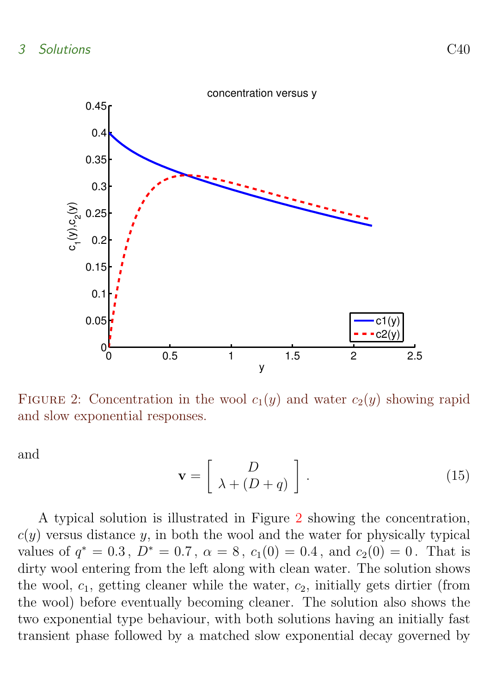

<span id="page-6-0"></span>FIGURE 2: Concentration in the wool  $c_1(y)$  and water  $c_2(y)$  showing rapid and slow exponential responses.

<span id="page-6-1"></span>and

$$
\mathbf{v} = \left[ \begin{array}{c} D \\ \lambda + (D+q) \end{array} \right]. \tag{15}
$$

A typical solution is illustrated in Figure [2](#page-6-0) showing the concentration,  $c(y)$  versus distance y, in both the wool and the water for physically typical values of  $q^* = 0.3$ ,  $D^* = 0.7$ ,  $\alpha = 8$ ,  $c_1(0) = 0.4$ , and  $c_2(0) = 0$ . That is dirty wool entering from the left along with clean water. The solution shows the wool,  $c_1$ , getting cleaner while the water,  $c_2$ , initially gets dirtier (from the wool) before eventually becoming cleaner. The solution also shows the two exponential type behaviour, with both solutions having an initially fast transient phase followed by a matched slow exponential decay governed by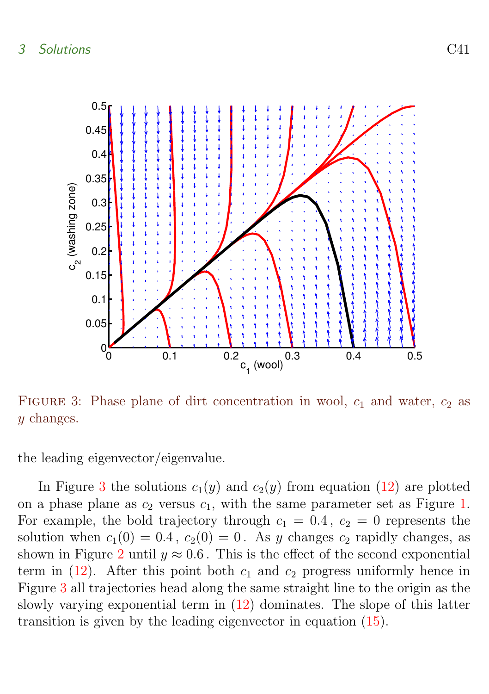

<span id="page-7-0"></span>FIGURE 3: Phase plane of dirt concentration in wool,  $c_1$  and water,  $c_2$  as y changes.

the leading eigenvector/eigenvalue.

In Figure [3](#page-7-0) the solutions  $c_1(y)$  and  $c_2(y)$  from equation [\(12\)](#page-5-1) are plotted on a phase plane as  $c_2$  versus  $c_1$ , with the same parameter set as Figure [1.](#page-2-1) For example, the bold trajectory through  $c_1 = 0.4$ ,  $c_2 = 0$  represents the solution when  $c_1(0) = 0.4$ ,  $c_2(0) = 0$ . As y changes  $c_2$  rapidly changes, as shown in Figure [2](#page-6-0) until  $y \approx 0.6$ . This is the effect of the second exponential term in  $(12)$ . After this point both  $c_1$  and  $c_2$  progress uniformly hence in Figure [3](#page-7-0) all trajectories head along the same straight line to the origin as the slowly varying exponential term in [\(12\)](#page-5-1) dominates. The slope of this latter transition is given by the leading eigenvector in equation [\(15\)](#page-6-1).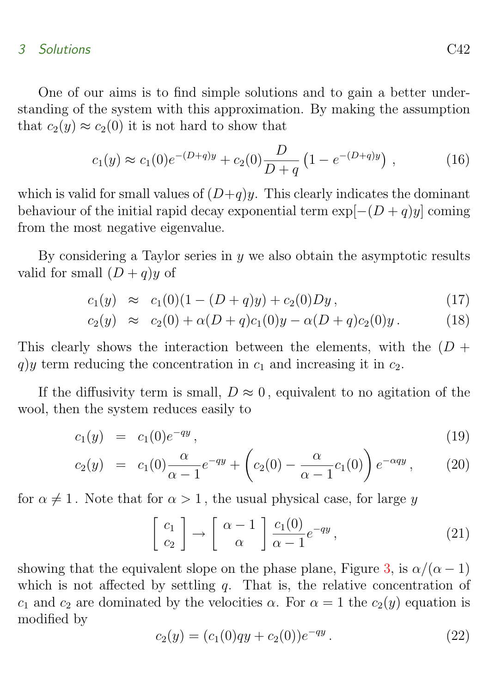### 3 Solutions C42

One of our aims is to find simple solutions and to gain a better understanding of the system with this approximation. By making the assumption that  $c_2(y) \approx c_2(0)$  it is not hard to show that

$$
c_1(y) \approx c_1(0)e^{-(D+q)y} + c_2(0)\frac{D}{D+q} \left(1 - e^{-(D+q)y}\right) , \qquad (16)
$$

which is valid for small values of  $(D+q)y$ . This clearly indicates the dominant behaviour of the initial rapid decay exponential term  $\exp[-(D+q)y]$  coming from the most negative eigenvalue.

By considering a Taylor series in  $y$  we also obtain the asymptotic results valid for small  $(D+q)y$  of

$$
c_1(y) \approx c_1(0)(1 - (D+q)y) + c_2(0)Dy, \qquad (17)
$$

$$
c_2(y) \approx c_2(0) + \alpha(D+q)c_1(0)y - \alpha(D+q)c_2(0)y. \qquad (18)
$$

This clearly shows the interaction between the elements, with the  $(D +$ q)y term reducing the concentration in  $c_1$  and increasing it in  $c_2$ .

If the diffusivity term is small,  $D \approx 0$ , equivalent to no agitation of the wool, then the system reduces easily to

$$
c_1(y) = c_1(0)e^{-qy}, \t\t(19)
$$

$$
c_2(y) = c_1(0)\frac{\alpha}{\alpha - 1}e^{-qy} + \left(c_2(0) - \frac{\alpha}{\alpha - 1}c_1(0)\right)e^{-\alpha qy}, \qquad (20)
$$

for  $\alpha \neq 1$ . Note that for  $\alpha > 1$ , the usual physical case, for large y

$$
\begin{bmatrix} c_1 \\ c_2 \end{bmatrix} \rightarrow \begin{bmatrix} \alpha - 1 \\ \alpha \end{bmatrix} \frac{c_1(0)}{\alpha - 1} e^{-qy}, \qquad (21)
$$

showing that the equivalent slope on the phase plane, Figure [3,](#page-7-0) is  $\alpha/(\alpha - 1)$ which is not affected by settling q. That is, the relative concentration of  $c_1$  and  $c_2$  are dominated by the velocities  $\alpha$ . For  $\alpha = 1$  the  $c_2(y)$  equation is modified by

<span id="page-8-0"></span>
$$
c_2(y) = (c_1(0)qy + c_2(0))e^{-qy}.
$$
\n(22)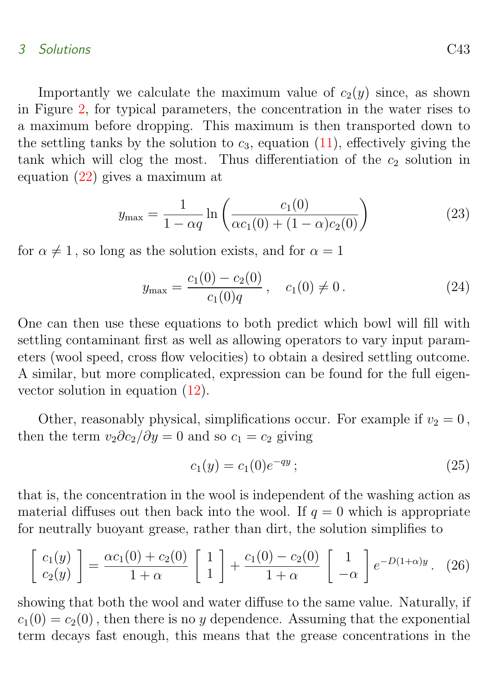#### 3 Solutions C43

Importantly we calculate the maximum value of  $c_2(y)$  since, as shown in Figure [2,](#page-6-0) for typical parameters, the concentration in the water rises to a maximum before dropping. This maximum is then transported down to the settling tanks by the solution to  $c_3$ , equation [\(11\)](#page-5-2), effectively giving the tank which will clog the most. Thus differentiation of the  $c_2$  solution in equation [\(22\)](#page-8-0) gives a maximum at

$$
y_{\max} = \frac{1}{1 - \alpha q} \ln \left( \frac{c_1(0)}{\alpha c_1(0) + (1 - \alpha)c_2(0)} \right)
$$
 (23)

for  $\alpha \neq 1$ , so long as the solution exists, and for  $\alpha = 1$ 

$$
y_{\max} = \frac{c_1(0) - c_2(0)}{c_1(0)q}, \quad c_1(0) \neq 0.
$$
 (24)

One can then use these equations to both predict which bowl will fill with settling contaminant first as well as allowing operators to vary input parameters (wool speed, cross flow velocities) to obtain a desired settling outcome. A similar, but more complicated, expression can be found for the full eigenvector solution in equation [\(12\)](#page-5-1).

Other, reasonably physical, simplifications occur. For example if  $v_2 = 0$ , then the term  $v_2\partial c_2/\partial y = 0$  and so  $c_1 = c_2$  giving

<span id="page-9-0"></span>
$$
c_1(y) = c_1(0)e^{-qy};\t\t(25)
$$

that is, the concentration in the wool is independent of the washing action as material diffuses out then back into the wool. If  $q = 0$  which is appropriate for neutrally buoyant grease, rather than dirt, the solution simplifies to

$$
\begin{bmatrix} c_1(y) \\ c_2(y) \end{bmatrix} = \frac{\alpha c_1(0) + c_2(0)}{1 + \alpha} \begin{bmatrix} 1 \\ 1 \end{bmatrix} + \frac{c_1(0) - c_2(0)}{1 + \alpha} \begin{bmatrix} 1 \\ -\alpha \end{bmatrix} e^{-D(1 + \alpha)y}.
$$
 (26)

showing that both the wool and water diffuse to the same value. Naturally, if  $c_1(0) = c_2(0)$ , then there is no y dependence. Assuming that the exponential term decays fast enough, this means that the grease concentrations in the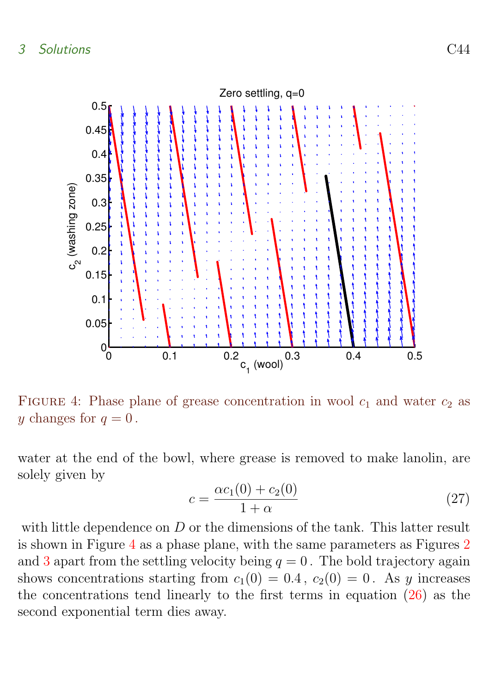

<span id="page-10-0"></span>FIGURE 4: Phase plane of grease concentration in wool  $c_1$  and water  $c_2$  as y changes for  $q=0$ .

water at the end of the bowl, where grease is removed to make lanolin, are solely given by

$$
c = \frac{\alpha c_1(0) + c_2(0)}{1 + \alpha} \tag{27}
$$

with little dependence on D or the dimensions of the tank. This latter result is shown in Figure [4](#page-10-0) as a phase plane, with the same parameters as Figures [2](#page-6-0) and [3](#page-7-0) apart from the settling velocity being  $q = 0$ . The bold trajectory again shows concentrations starting from  $c_1(0) = 0.4$ ,  $c_2(0) = 0$ . As y increases the concentrations tend linearly to the first terms in equation [\(26\)](#page-9-0) as the second exponential term dies away.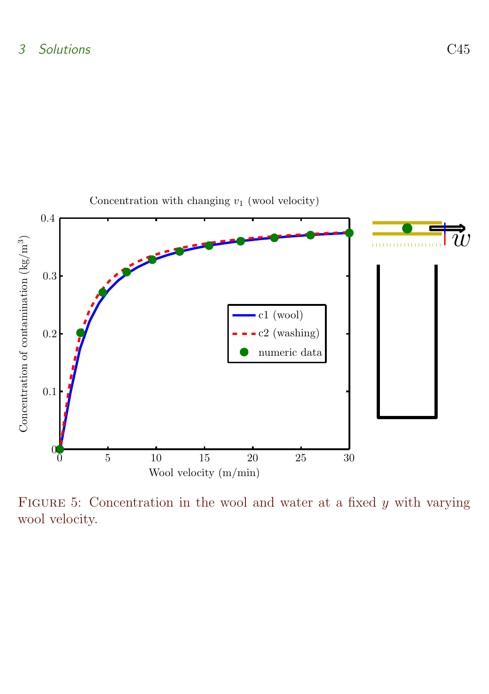

<span id="page-11-0"></span>FIGURE 5: Concentration in the wool and water at a fixed  $y$  with varying wool velocity.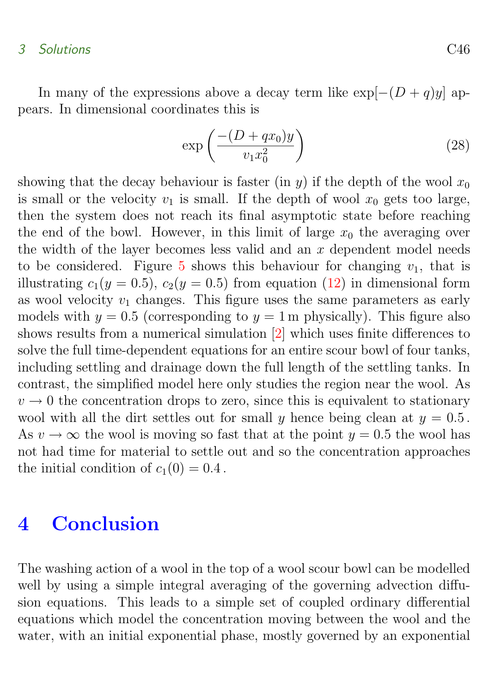#### <span id="page-12-1"></span>3 Solutions C46

In many of the expressions above a decay term like  $\exp[-(D+q)y]$  appears. In dimensional coordinates this is

$$
\exp\left(\frac{-(D+qx_0)y}{v_1x_0^2}\right) \tag{28}
$$

showing that the decay behaviour is faster (in y) if the depth of the wool  $x_0$ is small or the velocity  $v_1$  is small. If the depth of wool  $x_0$  gets too large, then the system does not reach its final asymptotic state before reaching the end of the bowl. However, in this limit of large  $x_0$  the averaging over the width of the layer becomes less valid and an  $x$  dependent model needs to be considered. Figure [5](#page-11-0) shows this behaviour for changing  $v_1$ , that is illustrating  $c_1(y = 0.5)$ ,  $c_2(y = 0.5)$  from equation [\(12\)](#page-5-1) in dimensional form as wool velocity  $v_1$  changes. This figure uses the same parameters as early models with  $y = 0.5$  (corresponding to  $y = 1$  m physically). This figure also shows results from a numerical simulation [\[2\]](#page-13-4) which uses finite differences to solve the full time-dependent equations for an entire scour bowl of four tanks, including settling and drainage down the full length of the settling tanks. In contrast, the simplified model here only studies the region near the wool. As  $v \to 0$  the concentration drops to zero, since this is equivalent to stationary wool with all the dirt settles out for small y hence being clean at  $y = 0.5$ . As  $v \to \infty$  the wool is moving so fast that at the point  $y = 0.5$  the wool has not had time for material to settle out and so the concentration approaches the initial condition of  $c_1(0) = 0.4$ .

# <span id="page-12-0"></span>4 Conclusion

The washing action of a wool in the top of a wool scour bowl can be modelled well by using a simple integral averaging of the governing advection diffusion equations. This leads to a simple set of coupled ordinary differential equations which model the concentration moving between the wool and the water, with an initial exponential phase, mostly governed by an exponential